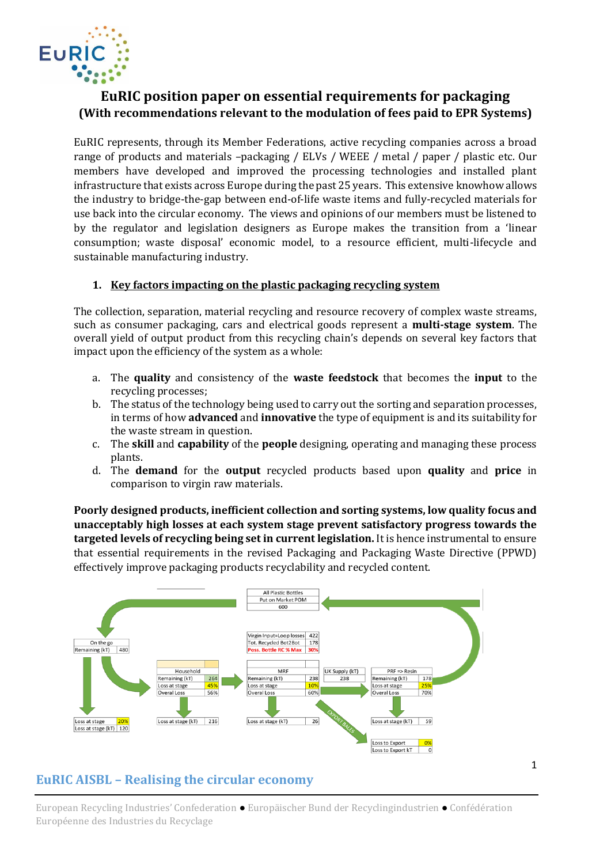

# **EuRIC position paper on essential requirements for packaging (With recommendations relevant to the modulation of fees paid to EPR Systems)**

EuRIC represents, through its Member Federations, active recycling companies across a broad range of products and materials –packaging / ELVs / WEEE / metal / paper / plastic etc. Our members have developed and improved the processing technologies and installed plant infrastructure that exists across Europe during the past 25 years. This extensive knowhow allows the industry to bridge-the-gap between end-of-life waste items and fully-recycled materials for use back into the circular economy. The views and opinions of our members must be listened to by the regulator and legislation designers as Europe makes the transition from a 'linear consumption; waste disposal' economic model, to a resource efficient, multi-lifecycle and sustainable manufacturing industry.

#### **1. Key factors impacting on the plastic packaging recycling system**

The collection, separation, material recycling and resource recovery of complex waste streams, such as consumer packaging, cars and electrical goods represent a **multi-stage system**. The overall yield of output product from this recycling chain's depends on several key factors that impact upon the efficiency of the system as a whole:

- a. The **quality** and consistency of the **waste feedstock** that becomes the **input** to the recycling processes;
- b. The status of the technology being used to carry out the sorting and separation processes, in terms of how **advanced** and **innovative** the type of equipment is and its suitability for the waste stream in question.
- c. The **skill** and **capability** of the **people** designing, operating and managing these process plants.
- d. The **demand** for the **output** recycled products based upon **quality** and **price** in comparison to virgin raw materials.

**Poorly designed products, inefficient collection and sorting systems, low quality focus and unacceptably high losses at each system stage prevent satisfactory progress towards the targeted levels of recycling being set in current legislation.** It is hence instrumental to ensure that essential requirements in the revised Packaging and Packaging Waste Directive (PPWD) effectively improve packaging products recyclability and recycled content.



# **EuRIC AISBL – Realising the circular economy**

European Recycling Industries' Confederation ● Europäischer Bund der Recyclingindustrien ● Confédération Européenne des Industries du Recyclage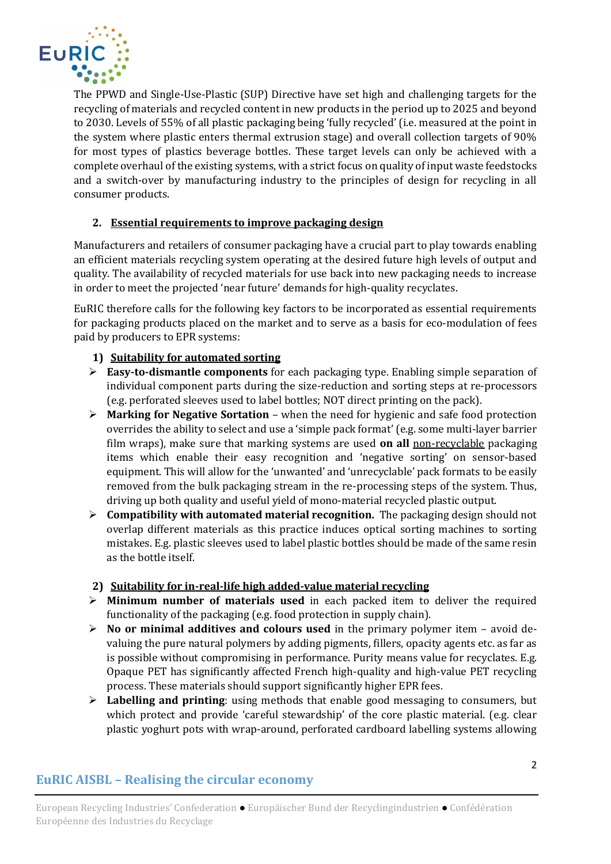

The PPWD and Single-Use-Plastic (SUP) Directive have set high and challenging targets for the recycling of materials and recycled content in new products in the period up to 2025 and beyond to 2030. Levels of 55% of all plastic packaging being 'fully recycled' (i.e. measured at the point in the system where plastic enters thermal extrusion stage) and overall collection targets of 90% for most types of plastics beverage bottles. These target levels can only be achieved with a complete overhaul of the existing systems, with a strict focus on quality of input waste feedstocks and a switch-over by manufacturing industry to the principles of design for recycling in all consumer products.

### **2. Essential requirements to improve packaging design**

Manufacturers and retailers of consumer packaging have a crucial part to play towards enabling an efficient materials recycling system operating at the desired future high levels of output and quality. The availability of recycled materials for use back into new packaging needs to increase in order to meet the projected 'near future' demands for high-quality recyclates.

EuRIC therefore calls for the following key factors to be incorporated as essential requirements for packaging products placed on the market and to serve as a basis for eco-modulation of fees paid by producers to EPR systems:

### **1) Suitability for automated sorting**

- ➢ **Easy-to-dismantle components** for each packaging type. Enabling simple separation of individual component parts during the size-reduction and sorting steps at re-processors (e.g. perforated sleeves used to label bottles; NOT direct printing on the pack).
- ➢ **Marking for Negative Sortation** when the need for hygienic and safe food protection overrides the ability to select and use a 'simple pack format' (e.g. some multi-layer barrier film wraps), make sure that marking systems are used **on all** non-recyclable packaging items which enable their easy recognition and 'negative sorting' on sensor-based equipment. This will allow for the 'unwanted' and 'unrecyclable' pack formats to be easily removed from the bulk packaging stream in the re-processing steps of the system. Thus, driving up both quality and useful yield of mono-material recycled plastic output.
- ➢ **Compatibility with automated material recognition.** The packaging design should not overlap different materials as this practice induces optical sorting machines to sorting mistakes. E.g. plastic sleeves used to label plastic bottles should be made of the same resin as the bottle itself.

### **2) Suitability for in-real-life high added-value material recycling**

- ➢ **Minimum number of materials used** in each packed item to deliver the required functionality of the packaging (e.g. food protection in supply chain).
- ➢ **No or minimal additives and colours used** in the primary polymer item avoid devaluing the pure natural polymers by adding pigments, fillers, opacity agents etc. as far as is possible without compromising in performance. Purity means value for recyclates. E.g. Opaque PET has significantly affected French high-quality and high-value PET recycling process. These materials should support significantly higher EPR fees.
- ➢ **Labelling and printing**: using methods that enable good messaging to consumers, but which protect and provide 'careful stewardship' of the core plastic material. (e.g. clear plastic yoghurt pots with wrap-around, perforated cardboard labelling systems allowing

# **EuRIC AISBL – Realising the circular economy**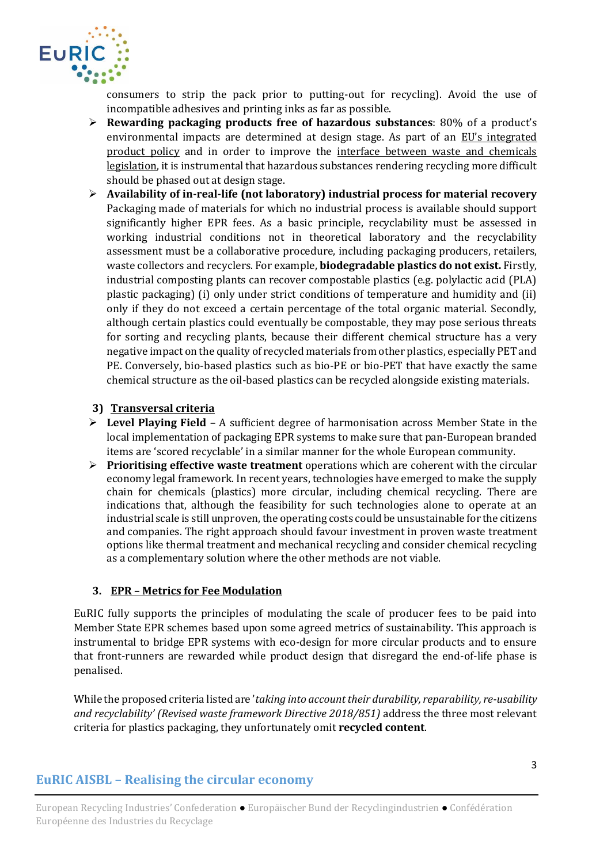

consumers to strip the pack prior to putting-out for recycling). Avoid the use of incompatible adhesives and printing inks as far as possible.

- ➢ **Rewarding packaging products free of hazardous substances**: 80% of a product's environmental impacts are determined at design stage. As part of an EU's integrated product policy and in order to improve the interface between waste and chemicals legislation, it is instrumental that hazardous substances rendering recycling more difficult should be phased out at design stage.
- ➢ **Availability of in-real-life (not laboratory) industrial process for material recovery** Packaging made of materials for which no industrial process is available should support significantly higher EPR fees. As a basic principle, recyclability must be assessed in working industrial conditions not in theoretical laboratory and the recyclability assessment must be a collaborative procedure, including packaging producers, retailers, waste collectors and recyclers. For example, **biodegradable plastics do not exist.** Firstly, industrial composting plants can recover compostable plastics (e.g. polylactic acid (PLA) plastic packaging) (i) only under strict conditions of temperature and humidity and (ii) only if they do not exceed a certain percentage of the total organic material. Secondly, although certain plastics could eventually be compostable, they may pose serious threats for sorting and recycling plants, because their different chemical structure has a very negative impact on the quality of recycled materials from other plastics, especially PET and PE. Conversely, bio-based plastics such as bio-PE or bio-PET that have exactly the same chemical structure as the oil-based plastics can be recycled alongside existing materials.

#### **3) Transversal criteria**

- ➢ **Level Playing Field –** A sufficient degree of harmonisation across Member State in the local implementation of packaging EPR systems to make sure that pan-European branded items are 'scored recyclable' in a similar manner for the whole European community.
- ➢ **Prioritising effective waste treatment** operations which are coherent with the circular economy legal framework. In recent years, technologies have emerged to make the supply chain for chemicals (plastics) more circular, including chemical recycling. There are indications that, although the feasibility for such technologies alone to operate at an industrial scale is still unproven, the operating costs could be unsustainable for the citizens and companies. The right approach should favour investment in proven waste treatment options like thermal treatment and mechanical recycling and consider chemical recycling as a complementary solution where the other methods are not viable.

### **3. EPR – Metrics for Fee Modulation**

EuRIC fully supports the principles of modulating the scale of producer fees to be paid into Member State EPR schemes based upon some agreed metrics of sustainability. This approach is instrumental to bridge EPR systems with eco-design for more circular products and to ensure that front-runners are rewarded while product design that disregard the end-of-life phase is penalised.

While the proposed criteria listed are '*taking into account their durability, reparability, re-usability and recyclability' (Revised waste framework Directive 2018/851)* address the three most relevant criteria for plastics packaging, they unfortunately omit **recycled content**.

## **EuRIC AISBL – Realising the circular economy**